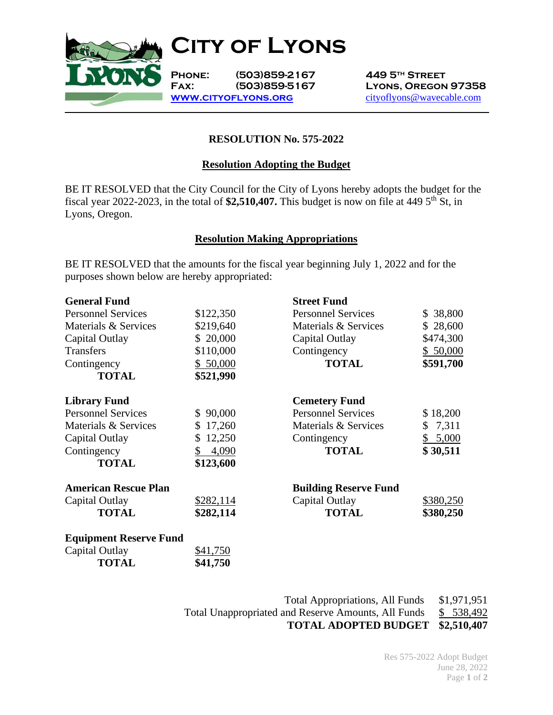

**Phone: (503)859-2167 449 5th Street**

**Fax: (503)859-5167 Lyons, Oregon 97358 [www.cityoflyons.org](http://www.cityoflyons.org/)** [cityoflyons@wavecable.com](mailto:cityoflyons@wavecable.com)

# **RESOLUTION No. 575-2022**

### **Resolution Adopting the Budget**

BE IT RESOLVED that the City Council for the City of Lyons hereby adopts the budget for the fiscal year 2022-2023, in the total of  $$2,510,407$ . This budget is now on file at 449 5<sup>th</sup> St, in Lyons, Oregon.

#### **Resolution Making Appropriations**

BE IT RESOLVED that the amounts for the fiscal year beginning July 1, 2022 and for the purposes shown below are hereby appropriated:

| <b>General Fund</b>           |              | <b>Street Fund</b>           |           |
|-------------------------------|--------------|------------------------------|-----------|
| <b>Personnel Services</b>     | \$122,350    | <b>Personnel Services</b>    | \$38,800  |
| Materials & Services          | \$219,640    | Materials & Services         | \$28,600  |
| Capital Outlay                | \$20,000     | Capital Outlay               | \$474,300 |
| <b>Transfers</b>              | \$110,000    | Contingency                  | \$50,000  |
| Contingency                   | \$50,000     | <b>TOTAL</b>                 | \$591,700 |
| <b>TOTAL</b>                  | \$521,990    |                              |           |
| <b>Library Fund</b>           |              | <b>Cemetery Fund</b>         |           |
| <b>Personnel Services</b>     | \$90,000     | <b>Personnel Services</b>    | \$18,200  |
| Materials & Services          | \$17,260     | Materials & Services         | \$7,311   |
| Capital Outlay                | 12,250<br>\$ | Contingency                  | \$ 5,000  |
| Contingency                   | \$<br>4,090  | <b>TOTAL</b>                 | \$30,511  |
| <b>TOTAL</b>                  | \$123,600    |                              |           |
| <b>American Rescue Plan</b>   |              | <b>Building Reserve Fund</b> |           |
| Capital Outlay                | \$282,114    | Capital Outlay               | \$380,250 |
| <b>TOTAL</b>                  | \$282,114    | <b>TOTAL</b>                 | \$380,250 |
| <b>Equipment Reserve Fund</b> |              |                              |           |
| Capital Outlay                | \$41,750     |                              |           |
| <b>TOTAL</b>                  | \$41,750     |                              |           |

| <b>TOTAL ADOPTED BUDGET \$2,510,407</b>                    |             |
|------------------------------------------------------------|-------------|
| <b>Total Unappropriated and Reserve Amounts, All Funds</b> | \$ 538,492  |
| <b>Total Appropriations, All Funds</b>                     | \$1,971,951 |